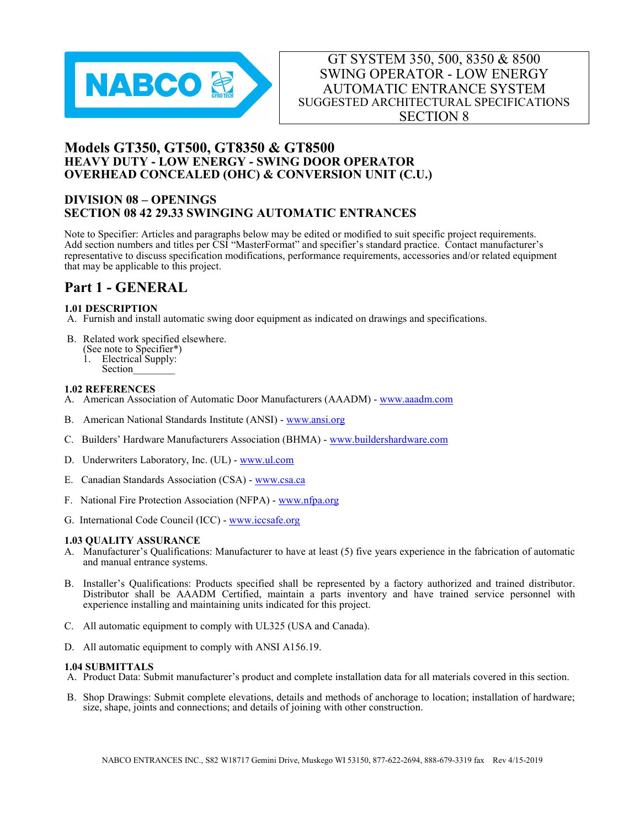

# Models GT350, GT500, GT8350 & GT8500 HEAVY DUTY - LOW ENERGY - SWING DOOR OPERATOR OVERHEAD CONCEALED (OHC) & CONVERSION UNIT (C.U.)

# DIVISION 08 – OPENINGS SECTION 08 42 29.33 SWINGING AUTOMATIC ENTRANCES

Note to Specifier: Articles and paragraphs below may be edited or modified to suit specific project requirements. Add section numbers and titles per CSI "MasterFormat" and specifier's standard practice. Contact manufacturer's representative to discuss specification modifications, performance requirements, accessories and/or related equipment that may be applicable to this project.

# Part 1 - GENERAL

### 1.01 DESCRIPTION

- A. Furnish and install automatic swing door equipment as indicated on drawings and specifications.
- B. Related work specified elsewhere.
	- (See note to Specifier\*)
	- 1. Electrical Supply: Section

## 1.02 REFERENCES

- A. American Association of Automatic Door Manufacturers (AAADM) www.aaadm.com
- B. American National Standards Institute (ANSI) www.ansi.org
- C. Builders' Hardware Manufacturers Association (BHMA) www.buildershardware.com
- D. Underwriters Laboratory, Inc. (UL) www.ul.com
- E. Canadian Standards Association (CSA) www.csa.ca
- F. National Fire Protection Association (NFPA) www.nfpa.org
- G. International Code Council (ICC) www.iccsafe.org

#### 1.03 QUALITY ASSURANCE

- A. Manufacturer's Qualifications: Manufacturer to have at least (5) five years experience in the fabrication of automatic and manual entrance systems.
- B. Installer's Qualifications: Products specified shall be represented by a factory authorized and trained distributor. Distributor shall be AAADM Certified, maintain a parts inventory and have trained service personnel with experience installing and maintaining units indicated for this project.
- C. All automatic equipment to comply with UL325 (USA and Canada).
- D. All automatic equipment to comply with ANSI A156.19.

#### 1.04 SUBMITTALS

- A. Product Data: Submit manufacturer's product and complete installation data for all materials covered in this section.
- B. Shop Drawings: Submit complete elevations, details and methods of anchorage to location; installation of hardware; size, shape, joints and connections; and details of joining with other construction.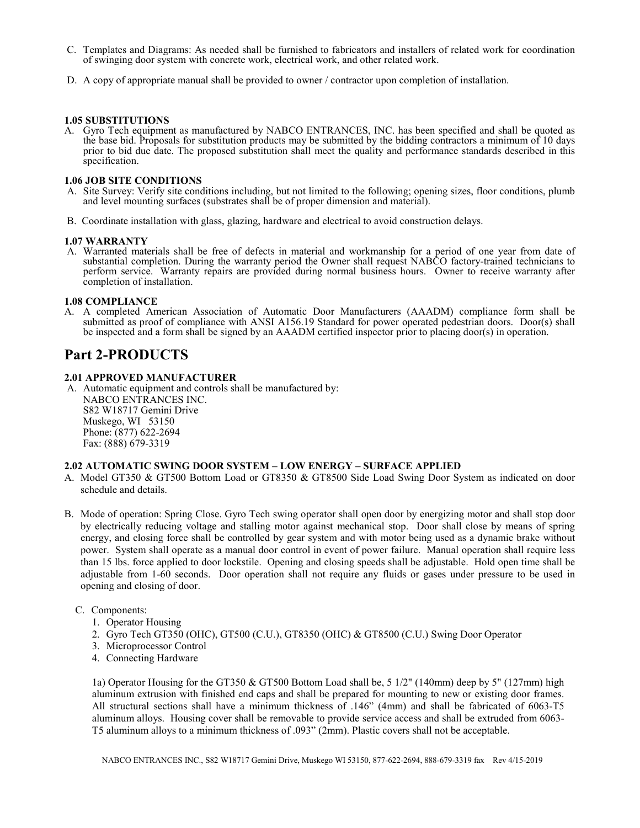- C. Templates and Diagrams: As needed shall be furnished to fabricators and installers of related work for coordination of swinging door system with concrete work, electrical work, and other related work.
- D. A copy of appropriate manual shall be provided to owner / contractor upon completion of installation.

### 1.05 SUBSTITUTIONS

A. Gyro Tech equipment as manufactured by NABCO ENTRANCES, INC. has been specified and shall be quoted as the base bid. Proposals for substitution products may be submitted by the bidding contractors a minimum of 10 days prior to bid due date. The proposed substitution shall meet the quality and performance standards described in this specification.

#### 1.06 JOB SITE CONDITIONS

- A. Site Survey: Verify site conditions including, but not limited to the following; opening sizes, floor conditions, plumb and level mounting surfaces (substrates shall be of proper dimension and material).
- B. Coordinate installation with glass, glazing, hardware and electrical to avoid construction delays.

#### 1.07 WARRANTY

A. Warranted materials shall be free of defects in material and workmanship for a period of one year from date of substantial completion. During the warranty period the Owner shall request NABCO factory-trained technicians to perform service. Warranty repairs are provided during normal business hours. Owner to receive warranty after completion of installation.

#### 1.08 COMPLIANCE

A. A completed American Association of Automatic Door Manufacturers (AAADM) compliance form shall be submitted as proof of compliance with ANSI A156.19 Standard for power operated pedestrian doors. Door(s) shall be inspected and a form shall be signed by an AAADM certified inspector prior to placing door(s) in operation.

# Part 2-PRODUCTS

#### 2.01 APPROVED MANUFACTURER

A. Automatic equipment and controls shall be manufactured by: NABCO ENTRANCES INC. S82 W18717 Gemini Drive Muskego, WI 53150 Phone: (877) 622-2694 Fax: (888) 679-3319

#### 2.02 AUTOMATIC SWING DOOR SYSTEM – LOW ENERGY – SURFACE APPLIED

- A. Model GT350 & GT500 Bottom Load or GT8350 & GT8500 Side Load Swing Door System as indicated on door schedule and details.
- B. Mode of operation: Spring Close. Gyro Tech swing operator shall open door by energizing motor and shall stop door by electrically reducing voltage and stalling motor against mechanical stop. Door shall close by means of spring energy, and closing force shall be controlled by gear system and with motor being used as a dynamic brake without power. System shall operate as a manual door control in event of power failure. Manual operation shall require less than 15 lbs. force applied to door lockstile. Opening and closing speeds shall be adjustable. Hold open time shall be adjustable from 1-60 seconds. Door operation shall not require any fluids or gases under pressure to be used in opening and closing of door.
	- C. Components:
		- 1. Operator Housing
		- 2. Gyro Tech GT350 (OHC), GT500 (C.U.), GT8350 (OHC) & GT8500 (C.U.) Swing Door Operator
		- 3. Microprocessor Control
		- 4. Connecting Hardware

1a) Operator Housing for the GT350 & GT500 Bottom Load shall be, 5 1/2" (140mm) deep by 5" (127mm) high aluminum extrusion with finished end caps and shall be prepared for mounting to new or existing door frames. All structural sections shall have a minimum thickness of .146" (4mm) and shall be fabricated of 6063-T5 aluminum alloys. Housing cover shall be removable to provide service access and shall be extruded from 6063- T5 aluminum alloys to a minimum thickness of .093" (2mm). Plastic covers shall not be acceptable.